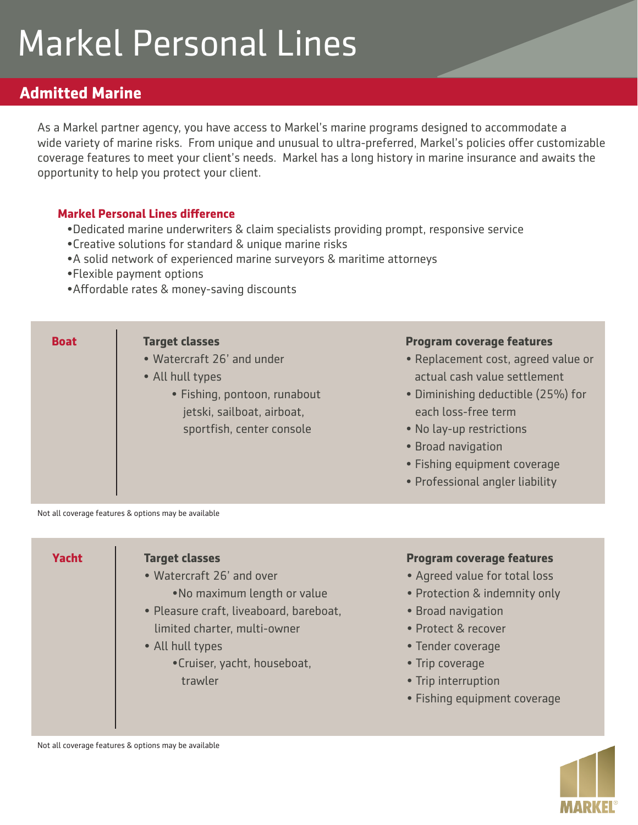## Markel Personal Lines

## **Admitted Marine**

As a Markel partner agency, you have access to Markel's marine programs designed to accommodate a wide variety of marine risks. From unique and unusual to ultra-preferred, Markel's policies offer customizable coverage features to meet your client's needs. Markel has a long history in marine insurance and awaits the opportunity to help you protect your client.

## **Markel Personal Lines difference**

- •Dedicated marine underwriters & claim specialists providing prompt, responsive service
- •Creative solutions for standard & unique marine risks
- •A solid network of experienced marine surveyors & maritime attorneys
- •Flexible payment options
- •Affordable rates & money-saving discounts



Not all coverage features & options may be available





Not all coverage features & options may be available